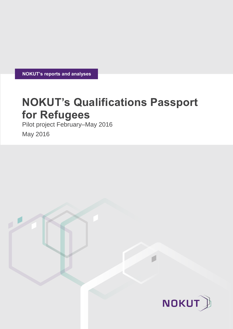**NOKUT's reports and analyses** 

# **NOKUT's Qualifications Passport for Refugees**

Pilot project February–May 2016

May 2016

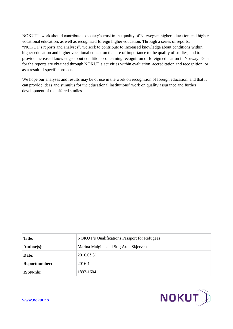NOKUT's work should contribute to society's trust in the quality of Norwegian higher education and higher vocational education, as well as recognized foreign higher education. Through a series of reports, "NOKUT's reports and analyses", we seek to contribute to increased knowledge about conditions within higher education and higher vocational education that are of importance to the quality of studies, and to provide increased knowledge about conditions concerning recognition of foreign education in Norway. Data for the reports are obtained through NOKUT's activities within evaluation, accreditation and recognition, or as a result of specific projects.

We hope our analyses and results may be of use in the work on recognition of foreign education, and that it can provide ideas and stimulus for the educational institutions' work on quality assurance and further development of the offered studies.

| <b>Title:</b>         | <b>NOKUT's Qualifications Passport for Refugees</b> |
|-----------------------|-----------------------------------------------------|
| $\mathbf{Author(s):}$ | Marina Malgina and Stig Arne Skjerven               |
| Date:                 | 2016.05.31                                          |
| <b>Reportnumber:</b>  | 2016-1                                              |
| <b>ISSN-nbr</b>       | 1892-1604                                           |



[www.nokut.no](http://www.nokut.no/)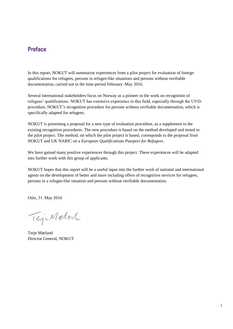## **Preface**

In this report, NOKUT will summarize experiences from a pilot project for evaluation of foreign qualifications for refugees, persons in refugee-like situations and persons without verifiable documentation, carried out in the time-period February–May 2016.

Several international stakeholders focus on Norway as a pioneer in the work on recognition of refugees' qualifications. NOKUT has extensive experience in this field, especially through the UVDprocedure, NOKUT's recognition procedure for persons without verifiable documentation, which is specifically adapted for refugees.

NOKUT is presenting a proposal for a new type of evaluation procedure, as a supplement to the existing recognition procedures. The new procedure is based on the method developed and tested in the pilot project. The method, on which the pilot project is based, corresponds to the proposal from NOKUT and UK NARIC on a *European Qualifications Passport for Refugees*.

We have gained many positive experiences through this project. These experiences will be adapted into further work with this group of applicants.

NOKUT hopes that this report will be a useful input into the further work of national and international agents on the development of better and more including offers of recognition services for refugees, persons in a refugee-like situation and persons without verifiable documentation.

Oslo, 31. May 2016

TejeMeter

Terje Mørland Director General, NOKUT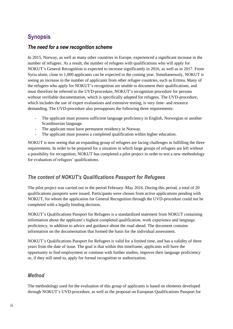# **Synopsis**

#### *The need for a new recognition scheme*

In 2015, Norway, as well as many other countries in Europe, experienced a significant increase in the number of refugees. As a result, the number of refugees with qualifications who will apply for NOKUT's General Recognition is expected to increase significantly in 2016, as well as in 2017. From Syria alone, close to 1,000 applicants can be expected in the coming year. Simultaneously, NOKUT is seeing an increase in the number of applicants from other refugee countries, such as Eritrea. Many of the refugees who apply for NOKUT's recognition are unable to document their qualifications, and must therefore be referred to the UVD-procedure, NOKUT's recognition procedure for persons without verifiable documentation, which is specifically adapted for refugees. The UVD-procedure, which includes the use of expert evaluations and extensive testing, is very time- and resource demanding. The UVD-procedure also presupposes the following three requirements:

- The applicant must possess sufficient language proficiency in English, Norwegian or another Scandinavian language.
- The applicant must have permanent residency in Norway.
- The applicant must possess a completed qualification within higher education.

NOKUT is now seeing that an expanding group of refugees are facing challenges in fulfilling the three requirements. In order to be prepared for a situation in which large groups of refugees are left without a possibility for recognition, NOKUT has completed a pilot project in order to test a new methodology for evaluation of refugees' qualifications.

#### *The content of NOKUT's Qualifications Passport for Refugees*

The pilot project was carried out in the period February–May 2016. During this period, a total of 20 qualifications passports were issued. Participants were chosen from active applications pending with NOKUT, for whom the application for General Recognition through the UVD-procedure could not be completed with a legally binding decision.

NOKUT's Qualifications Passport for Refugees is a standardized statement from NOKUT containing information about the applicant's highest completed qualification, work experience and language proficiency, in addition to advice and guidance about the road ahead. The document contains information on the documentation that formed the basis for the individual assessment.

NOKUT's Qualifications Passport for Refugees is valid for a limited time, and has a validity of three years from the date of issue. The goal is that within this timeframe, applicants will have the opportunity to find employment or continue with further studies, improve their language proficiency or, if they still need to, apply for formal recognition or authorization.

#### *Method*

The methodology used for the evaluation of this group of applicants is based on elements developed through NOKUT's UVD-procedure, as well as the proposal on European Qualifications Passport for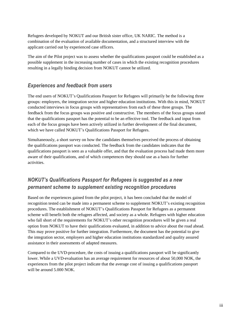Refugees developed by NOKUT and our British sister office, UK NARIC. The method is a combination of the evaluation of available documentation, and a structured interview with the applicant carried out by experienced case officers.

The aim of the Pilot project was to assess whether the qualifications passport could be established as a possible supplement in the increasing number of cases in which the existing recognition procedures resulting in a legally binding decision from NOKUT cannot be utilized.

#### *Experiences and feedback from users*

The end users of NOKUT's Qualifications Passport for Refugees will primarily be the following three groups: employers, the integration sector and higher education institutions. With this in mind, NOKUT conducted interviews in focus groups with representatives from each of these three groups. The feedback from the focus groups was positive and constructive. The members of the focus groups stated that the qualifications passport has the potential to be an effective tool. The feedback and input from each of the focus groups have been actively utilized in further development of the final document, which we have called NOKUT's Qualifications Passport for Refugees.

Simultaneously, a short survey on how the candidates themselves perceived the process of obtaining the qualifications passport was conducted. The feedback from the candidates indicates that the qualifications passport is seen as a valuable offer, and that the evaluation process had made them more aware of their qualifications, and of which competences they should use as a basis for further activities.

# *NOKUT's Qualifications Passport for Refugees is suggested as a new permanent scheme to supplement existing recognition procedures*

Based on the experiences gained from the pilot project, it has been concluded that the model of recognition tested can be made into a permanent scheme to supplement NOKUT's existing recognition procedures. The establishment of NOKUT's Qualifications Passport for Refugees as a permanent scheme will benefit both the refugees affected, and society as a whole. Refugees with higher education who fall short of the requirements for NOKUT's other recognition procedures will be given a real option from NOKUT to have their qualifications evaluated, in addition to advice about the road ahead. This may prove positive for further integration. Furthermore, the document has the potential to give the integration sector, employers and higher education institutions standardized and quality assured assistance in their assessments of adapted measures.

Compared to the UVD-procedure, the costs of issuing a qualifications passport will be significantly lower. While a UVD-evaluation has an average requirement for resources of about 50,000 NOK, the experiences from the pilot project indicate that the average cost of issuing a qualifications passport will be around 5.000 NOK.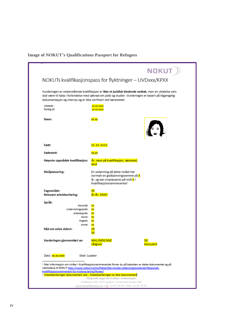## **Image of NOKUT's Qualifications Passport for Refugees**

|                                                                                                                    | NOKUT                                                                                                                                                                                                         |
|--------------------------------------------------------------------------------------------------------------------|---------------------------------------------------------------------------------------------------------------------------------------------------------------------------------------------------------------|
|                                                                                                                    | NOKUTs kvalifikasjonspass for flyktninger – UVDxxx/KPXX                                                                                                                                                       |
| dokumentasjon og intervju og er ikke verifisert ved lærestedet.                                                    | Vurderingen av nedenstående kvalifikasjon er ikke et juridisk bindende vedtak, men en uttalelse som<br>skal være til hjelp i forbindelse med søknad om jobb og studier. Vurderingen er basert på tilgjengelig |
| Utstedt:<br>Gyldig til:                                                                                            | <u>XX.XX.XXXX</u><br><b>XX.XX.XXXX</b>                                                                                                                                                                        |
| Navn:                                                                                                              | xx xx                                                                                                                                                                                                         |
| Født:                                                                                                              | <u>XX.XX.XXXX</u>                                                                                                                                                                                             |
| Fødested:                                                                                                          | xx,xx                                                                                                                                                                                                         |
| Høyeste oppnådde kvalifikasjon:                                                                                    | År: navn på kvalifikasjon, lærested,<br>land                                                                                                                                                                  |
| Nivåplassering:                                                                                                    | En utdanning på dette nivået har<br>normalt en godkjenningsramme på X<br>år, og kan innplasseres på nivå <mark>X</mark> i<br>Kvalifikasjonsrammeverket <sup>1</sup>                                           |
| Fagområde:<br>Relevant arbeidserfaring:                                                                            | Ar-Ar: XXXX <sup>2</sup>                                                                                                                                                                                      |
| Språk:<br>Morsmál:<br>Undervisningsspråk:<br>Arbeidsspråk:<br>Norsk:<br>Engelsk:<br>Annet:<br>Råd om veien videre: | хх<br>хχ<br>хχ<br>xх<br>xx                                                                                                                                                                                    |
| Vurderingen gjennomført av:                                                                                        | MHL/MDE/MJE<br>SEI<br>rådgiver<br>konsulent                                                                                                                                                                   |
| Dato: <mark>xx.xx.xxxx</mark><br>Sted: Lysaker                                                                     |                                                                                                                                                                                                               |
| kvalifikasjonsrammeverk-for-livslang-laring/Nivaer/                                                                | $^1$ Mer informasjon om nivåer i Kvalifikasjonsrammeverket finner du på baksiden av dette dokumentet og på<br>nettsidene til NOKUT http://www.nokut.no/no/Fakta/Det-norske-utdanningssystemet/Nasjonalt-      |
|                                                                                                                    | <sup>2</sup> Arbeidserfaringen dokumentert ved Arbeidserfaringen er ikke dokumentert<br>Nasjonalt organ for kvalitet i utdanningen<br>Postboks 578, 1327 Lysaker   Drammensveien 288                          |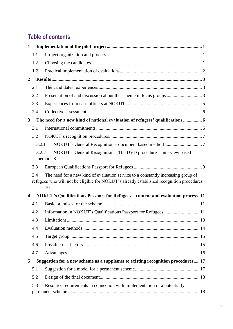# **Table of contents**

| $\mathbf{1}$   |       |                                                                                                                                                                                     |  |
|----------------|-------|-------------------------------------------------------------------------------------------------------------------------------------------------------------------------------------|--|
|                | 1.1   |                                                                                                                                                                                     |  |
|                | 1.2   |                                                                                                                                                                                     |  |
|                | 1.3   |                                                                                                                                                                                     |  |
| $\overline{2}$ |       |                                                                                                                                                                                     |  |
|                | 2.1   |                                                                                                                                                                                     |  |
|                | 2.2   |                                                                                                                                                                                     |  |
|                | 2.3   |                                                                                                                                                                                     |  |
|                | 2.4   |                                                                                                                                                                                     |  |
| $\mathbf{3}$   |       |                                                                                                                                                                                     |  |
|                | 3.1   |                                                                                                                                                                                     |  |
|                | 3.2   |                                                                                                                                                                                     |  |
|                | 3.2.1 |                                                                                                                                                                                     |  |
|                | 3.2.2 | NOKUT's General Recognition - The UVD procedure - interview based<br>method 8                                                                                                       |  |
|                | 3.3   |                                                                                                                                                                                     |  |
|                | 3.4   | The need for a new kind of evaluation service to a constantly increasing group of<br>refugees who will not be eligible for NOKUT's already established recognition procedures<br>10 |  |
| 4              |       | <b>NOKUT's Qualifications Passport for Refugees - content and evaluation process. 11</b>                                                                                            |  |
|                | 4.1   |                                                                                                                                                                                     |  |
|                | 4.2   | Information in NOKUT's Qualifications Passport for Refugees  11                                                                                                                     |  |
|                | 4.3   |                                                                                                                                                                                     |  |
|                | 4.4   |                                                                                                                                                                                     |  |
|                | 4.5   |                                                                                                                                                                                     |  |
|                | 4.6   |                                                                                                                                                                                     |  |
|                | 4.7   |                                                                                                                                                                                     |  |
| 5              |       | Suggestion for a new scheme as a supplemet to existing recognition procedures 17                                                                                                    |  |
|                | 5.1   |                                                                                                                                                                                     |  |
|                | 5.2   |                                                                                                                                                                                     |  |
|                | 5.3   | Resource requirements in connection with implementation of a potentially                                                                                                            |  |
|                |       |                                                                                                                                                                                     |  |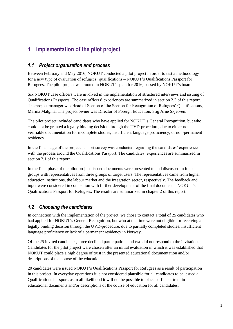# <span id="page-7-0"></span>**1 Implementation of the pilot project**

#### <span id="page-7-1"></span>*1.1 Project organization and process*

Between February and May 2016, NOKUT conducted a pilot project in order to test a methodology for a new type of evaluation of refugees' qualifications – NOKUT's Qualifications Passport for Refugees. The pilot project was rooted in NOKUT's plan for 2016, passed by NOKUT's board.

Six NOKUT case officers were involved in the implementation of structured interviews and issuing of Qualifications Passports. The case officers' experiences are summarized in section 2.3 of this report. The project manager was Head of Section of the Section for Recognition of Refugees' Qualifications, Marina Malgina. The project owner was Director of Foreign Education, Stig Arne Skjerven.

The pilot project included candidates who have applied for NOKUT's General Recognition, but who could not be granted a legally binding decision through the UVD-procedure, due to either nonverifiable documentation for incomplete studies, insufficient language proficiency, or non-permanent residency.

In the final stage of the project, a short survey was conducted regarding the candidates' experience with the process around the Qualifications Passport. The candidates' experiences are summarized in section 2.1 of this report.

In the final phase of the pilot project, issued documents were presented to and discussed in focus groups with representatives from three groups of target users. The representatives came from higher education institutions, the labour market and the integration sector, respectively. The feedback and input were considered in connection with further development of the final document – NOKUT's Qualifications Passport for Refugees. The results are summarized in chapter 2 of this report.

## <span id="page-7-2"></span>*1.2 Choosing the candidates*

In connection with the implementation of the project, we chose to contact a total of 25 candidates who had applied for NOKUT's General Recognition, but who at the time were not eligible for receiving a legally binding decision through the UVD-procedure, due to partially completed studies, insufficient language proficiency or lack of a permanent residency in Norway.

Of the 25 invited candidates, three declined participation, and two did not respond to the invitation. Candidates for the pilot project were chosen after an initial evaluation in which it was established that NOKUT could place a high degree of trust in the presented educational documentation and/or descriptions of the course of the education.

20 candidates were issued NOKUT's Qualifications Passport for Refugees as a result of participation in this project. In everyday operations it is not considered plausible for all candidates to be issued a Qualifications Passport, as in all likelihood it will not be possible to place sufficient trust in educational documents and/or descriptions of the course of education for all candidates.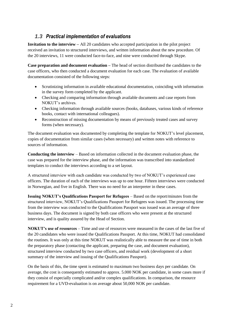#### *1.3 Practical implementation of evaluations*

<span id="page-8-0"></span>**Invitation to the interview –** All 20 candidates who accepted participation in the pilot project received an invitation to structured interviews, and written information about the new procedure. Of the 20 interviews, 11 were conducted face-to-face, and nine were conducted through Skype.

**Case preparation and document evaluation –** The head of section distributed the candidates to the case officers, who then conducted a document evaluation for each case. The evaluation of available documentation consisted of the following steps:

- Scrutinizing information in available educational documentation, coinciding with information in the survey form completed by the applicant.
- Checking and comparing information through available documents and case reports from NOKUT's archives.
- Checking information through available sources (books, databases, various kinds of reference books, contact with international colleagues).
- Reconstruction of missing documentation by means of previously treated cases and survey forms (when necessary).

The document evaluation was documented by completing the template for NOKUT's level placement, copies of documentation from similar cases (when necessary) and written notes with reference to sources of information.

**Conducting the interview** – Based on information collected in the document evaluation phase, the case was prepared for the interview phase, and the information was transcribed into standardized templates to conduct the interviews according to a set layout.

A structured interview with each candidate was conducted by two of NOKUT's experienced case officers. The duration of each of the interviews was up to one hour. Fifteen interviews were conducted in Norwegian, and five in English. There was no need for an interpreter in these cases.

**Issuing NOKUT's Qualifications Passport for Refugees** – Based on the report/minutes from the structured interview, NOKUT's Qualifications Passport for Refugees was issued. The processing time from the interview was conducted to the Qualifications Passport was issued was an average of three business days. The document is signed by both case officers who were present at the structured interview, and is quality assured by the Head of Section.

**NOKUT's use of resources** – Time and use of resources were measured in the cases of the last five of the 20 candidates who were issued the Qualifications Passport. At this time, NOKUT had consolidated the routines. It was only at this time NOKUT was realistically able to measure the use of time in both the preparatory phase (contacting the applicant, preparing the case, and document evaluation), structured interview conducted by two case officers, and residual work (development of a short summary of the interview and issuing of the Qualifications Passport).

On the basis of this, the time spent is estimated to maximum two business days per candidate. On average, the cost is consequently estimated to approx. 5.000 NOK per candidate, in some cases more if they consist of especially complicated and/or complex qualifications. In comparison, the resource requirement for a UVD-evaluation is on average about 50,000 NOK per candidate.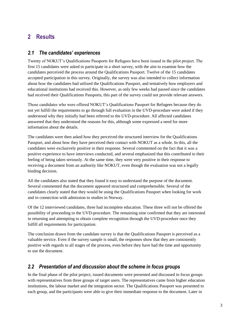# <span id="page-9-0"></span>**2 Results**

#### <span id="page-9-1"></span>*2.1 The candidates' experiences*

Twenty of NOKUT's Qualifications Passports for Refugees have been issued in the pilot project. The first 15 candidates were asked to participate in a short survey, with the aim to examine how the candidates perceived the process around the Qualifications Passport. Twelve of the 15 candidates accepted participation in this survey. Originally, the survey was also intended to collect information about how the candidates had utilized the Qualifications Passport, and tentatively how employers and educational institutions had received this. However, as only few weeks had passed since the candidates had received their Qualifications Passports, this part of the survey could not provide relevant answers.

Those candidates who were offered NOKUT's Qualifications Passport for Refugees because they do not yet fulfill the requirements to go through full evaluation in the UVD-procedure were asked if they understood why they initially had been referred to the UVD-procedure. All affected candidates answered that they understood the reasons for this, although some expressed a need for more information about the details.

The candidates were then asked how they perceived the structured interview for the Qualifications Passport, and about how they have perceived their contact with NOKUT as a whole. In this, all the candidates were exclusively positive in their response. Several commented on the fact that it was a positive experience to have interviews conducted, and several emphasized that this contributed to their feeling of being taken seriously. At the same time, they were very positive in their response to receiving a document from an authority like NOKUT, even though the evaluation was not a legally binding decision.

All the candidates also stated that they found it easy to understand the purpose of the document. Several commented that the document appeared structured and comprehensible. Several of the candidates clearly stated that they would be using the Qualifications Passport when looking for work and in connection with admission to studies in Norway.

Of the 12 interviewed candidates, three had incomplete education. These three will not be offered the possibility of proceeding to the UVD-procedure. The remaining nine confirmed that they are interested in returning and attempting to obtain complete recognition through the UVD-procedure once they fulfill all requirements for participation.

The conclusion drawn from the candidate survey is that the Qualifications Passport is perceived as a valuable service. Even if the survey sample is small, the responses show that they are consistently positive with regards to all stages of the process, even before they have had the time and opportunity to use the document.

#### <span id="page-9-2"></span>*2.2 Presentation of and discussion about the scheme in focus groups*

In the final phase of the pilot project, issued documents were presented and discussed in focus groups with representatives from three groups of target users. The representatives came from higher education institutions, the labour market and the integration sector. The Qualifications Passport was presented to each group, and the participants were able to give their immediate response to the document. Later in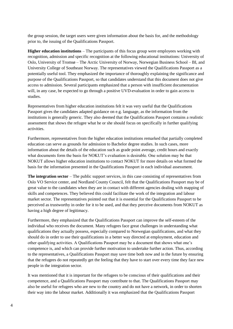the group session, the target users were given information about the basis for, and the methodology prior to, the issuing of the Qualifications Passport.

**Higher education institutions** – The participants of this focus group were employees working with recognition, admission and specific recognition at the following educational institutions: University of Oslo, University of Tromsø – The Arctic University of Norway, Norwegian Business School – BI, and University College of Southeast Norway. The representatives viewed the Qualifications Passport as a potentially useful tool. They emphasized the importance of thoroughly explaining the significance and purpose of the Qualifications Passport, so that candidates understand that this document does not give access to admission. Several participants emphasized that a person with insufficient documentation will, in any case, be expected to go through a positive UVD-evaluation in order to gain access to studies.

Representatives from higher education institutions felt it was very useful that the Qualifications Passport gives the candidates adapted guidance on e.g. language, as the information from the institutions is generally generic. They also deemed that the Qualifications Passport contains a realistic assessment that shows the refugee what he or she should focus on specifically in further qualifying activities.

Furthermore, representatives from the higher education institutions remarked that partially completed education can serve as grounds for admission to Bachelor degree studies. In such cases, more information about the details of the education such as grade point average, credit hours and exactly what documents form the basis for NOKUT's evaluation is desirable. One solution may be that NOKUT allows higher education institutions to contact NOKUT for more details on what formed the basis for the information presented in the Qualifications Passport in each individual assessment.

**The integration sector** – The public support services, in this case consisting of representatives from Oslo VO Service center, and Nordland County Council, felt that the Qualifications Passport may be of great value to the candidates when they are in contact with different agencies dealing with mapping of skills and competences. They believed this could facilitate the work of the integration and labour market sector. The representatives pointed out that it is essential for the Qualifications Passport to be perceived as trustworthy in order for it to be used, and that they perceive documents from NOKUT as having a high degree of legitimacy.

Furthermore, they emphasized that the Qualifications Passport can improve the self-esteem of the individual who receives the document. Many refugees face great challenges in understanding what qualifications they actually possess, especially compared to Norwegian qualifications, and what they should do in order to use their qualifications in a better way directed at employment, education and other qualifying activities. A Qualifications Passport may be a document that shows what one's competence is, and which can provide further motivation to undertake further action. Thus, according to the representatives, a Qualifications Passport may save time both now and in the future by ensuring that the refugees do not repeatedly get the feeling that they have to start over every time they face new people in the integration sector.

It was mentioned that it is important for the refugees to be conscious of their qualifications and their competence, and a Qualifications Passport may contribute to that. The Qualifications Passport may also be useful for refugees who are new to the country and do not have a network, in order to shorten their way into the labour market. Additionally it was emphasized that the Qualifications Passport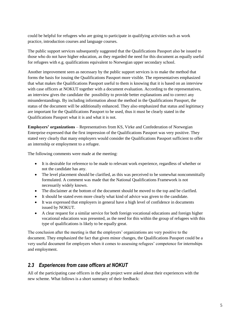could be helpful for refugees who are going to participate in qualifying activities such as work practice, introduction courses and language courses.

The public support services subsequently suggested that the Qualifications Passport also be issued to those who do not have higher education, as they regarded the need for this document as equally useful for refugees with e.g. qualifications equivalent to Norwegian upper secondary school.

Another improvement seen as necessary by the public support services is to make the method that forms the basis for issuing the Qualifications Passport more visible. The representatives emphasized that what makes the Qualifications Passport useful to them is knowing that it is based on an interview with case officers at NOKUT together with a document evaluation. According to the representatives, an interview gives the candidate the possibility to provide better explanations and to correct any misunderstandings. By including information about the method in the Qualifications Passport, the status of the document will be additionally enhanced. They also emphasized that status and legitimacy are important for the Qualifications Passport to be used, thus it must be clearly stated in the Qualifications Passport what it is and what it is not.

**Employers' organizations** – Representatives from KS, Virke and Confederation of Norwegian Enterprise expressed that the first impression of the Qualifications Passport was very positive. They stated very clearly that many employers would consider the Qualifications Passport sufficient to offer an internship or employment to a refugee.

The following comments were made at the meeting:

- It is desirable for reference to be made to relevant work experience, regardless of whether or not the candidate has any.
- The level placement should be clarified, as this was perceived to be somewhat noncommittally formulated. A comment was made that the National Qualifications Framework is not necessarily widely known.
- The disclaimer at the bottom of the document should be moved to the top and be clarified.
- It should be stated even more clearly what kind of advice was given to the candidate.
- It was expressed that employers in general have a high level of confidence in documents issued by NOKUT.
- A clear request for a similar service for both foreign vocational educations and foreign higher vocational educations was presented, as the need for this within the group of refugees with this type of qualifications is likely to be equally great.

The conclusion after the meeting is that the employers' organizations are very positive to the document. They emphasized the fact that given minor changes, the Qualifications Passport could be a very useful document for employers when it comes to assessing refugees' competence for internships and employment.

#### <span id="page-11-0"></span>*2.3 Experiences from case officers at NOKUT*

All of the participating case officers in the pilot project were asked about their experiences with the new scheme. What follows is a short summary of their feedback: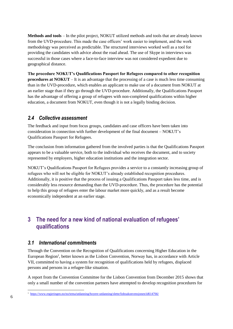**Methods and tools** – In the pilot project, NOKUT utilized methods and tools that are already known from the UVD-procedure. This made the case officers' work easier to implement, and the work methodology was perceived as predictable. The structured interviews worked well as a tool for providing the candidates with advice about the road ahead. The use of Skype in interviews was successful in those cases where a face-to-face interview was not considered expedient due to geographical distance.

**The procedure NOKUT's Qualifications Passport for Refugees compared to other recognition procedures at NOKUT** – It is an advantage that the processing of a case is much less time consuming than in the UVD-procedure, which enables an applicant to make use of a document from NOKUT at an earlier stage than if they go through the UVD-procedure. Additionally, the Qualifications Passport has the advantage of offering a group of refugees with non-completed qualifications within higher education, a document from NOKUT, even though it is not a legally binding decision.

#### <span id="page-12-0"></span>*2.4 Collective assessment*

The feedback and input from focus groups, candidates and case officers have been taken into consideration in connection with further development of the final document – NOKUT's Qualifications Passport for Refugees.

The conclusion from information gathered from the involved parties is that the Qualifications Passport appears to be a valuable service, both to the individual who receives the document, and to society represented by employers, higher education institutions and the integration sector.

NOKUT's Qualifications Passport for Refugees provides a service to a constantly increasing group of refugees who will not be eligible for NOKUT's already established recognition procedures. Additionally, it is positive that the process of issuing a Qualifications Passport takes less time, and is considerably less resource demanding than the UVD-procedure. Thus, the procedure has the potential to help this group of refugees enter the labour market more quickly, and as a result become economically independent at an earlier stage.

# <span id="page-12-1"></span>**3 The need for a new kind of national evaluation of refugees' qualifications**

#### <span id="page-12-2"></span>*3.1 International commitments*

Through the Convention on the Recognition of Qualifications concerning Higher Education in the European Region<sup>1</sup>, better known as the Lisbon Convention, Norway has, in accordance with Article VII, committed to having a system for recognition of qualifications held by refugees, displaced persons and persons in a refugee-like situation.

A report from the Convention Committee for the Lisbon Convention from December 2015 shows that only a small number of the convention partners have attempted to develop recognition procedures for

 1 <https://www.regjeringen.no/no/tema/utdanning/hoyere-utdanning/slette/lisboakonvensjonen/id614766/>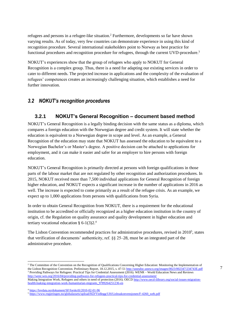refugees and persons in a refugee-like situation.<sup>2</sup> Furthermore, developments so far have shown varying results. As of today, very few countries can demonstrate experience in using this kind of recognition procedure. Several international stakeholders point to Norway as best practice for functional procedures and recognition procedure for refugees, through the current UVD-procedure.<sup>3</sup>

NOKUT's experiences show that the group of refugees who apply to NOKUT for General Recognition is a complex group. Thus, there is a need for adapting our existing services in order to cater to different needs. The projected increase in applications and the complexity of the evaluation of refugees' competences creates an increasingly challenging situation, which establishes a need for further innovation.

#### <span id="page-13-1"></span><span id="page-13-0"></span>*3.2 NOKUT's recognition procedures*

#### **3.2.1 NOKUT's General Recognition – document based method**

NOKUT's General Recognition is a legally binding decision with the same status as a diploma, which compares a foreign education with the Norwegian degree and credit system. It will state whether the education is equivalent to a Norwegian degree in scope and level. As an example, a General Recognition of the education may state that NOKUT has assessed the education to be equivalent to a Norwegian Bachelor's or Master's degree. A positive decision can be attached to applications for employment, and it can make it easier and safer for an employer to hire persons with foreign education.

NOKUT's General Recognition is primarily directed at persons with foreign qualifications in those parts of the labour market that are not regulated by other recognition and authorization procedures. In 2015, NOKUT received more than 7,500 individual applications for General Recognition of foreign higher education, and NOKUT expects a significant increase in the number of applications in 2016 as well. The increase is expected to come primarily as a result of the refugee crisis. As an example, we expect up to 1,000 applications from persons with qualifications from Syria.

In order to obtain General Recognition from NOKUT, there is a requirement for the educational institution to be accredited or officially recognized as a higher education institution in the country of origin, cf. the Regulation on quality assurance and quality development in higher education and tertiary vocational education  $§$  6-1(3)2.<sup>4</sup>

The Lisbon Convention recommended practices for administrative procedures, revised in 2010<sup>5</sup>, states that verification of documents' authenticity, ref. §§ 25–28, must be an integrated part of the administrative procedure.

 $\overline{a}$ 

<sup>&</sup>lt;sup>2</sup> The Committee of the Convention on the Recognition of Qualifications Concerning Higher Education: Monitoring the Implementation of the Lisbon Recognition Convention. Preliminary Report, 18.12.2015, s. 47-5[1 http://unesdoc.unesco.org/images/0023/002347/234743E.pdf](http://unesdoc.unesco.org/images/0023/002347/234743E.pdf) <sup>3</sup> Providing Pathways for Refugees: Practical Tips for Credential Assessment (2016). WENR – World Education News and Reviews <http://wenr.wes.org/2016/04/providing-pathways-for-refugees-practical-tips-for-credential-assessment/> Making Integration Work, Refugees and others in need of protection (2016). OEC[D http://www.oecd-ilibrary.org/social-issues-migration-](http://www.oecd-ilibrary.org/social-issues-migration-health/making-integration-work-humanitarian-migrants_9789264251236-en)

[health/making-integration-work-humanitarian-migrants\\_9789264251236-en](http://www.oecd-ilibrary.org/social-issues-migration-health/making-integration-work-humanitarian-migrants_9789264251236-en)

<sup>4</sup> <https://lovdata.no/dokument/SF/forskrift/2010-02-01-96>

<sup>5</sup> [https://www.regjeringen.no/globalassets/upload/KD/Vedlegg/UH/Lisboakonvensjonen/F-4260\\_web.pdf](https://www.regjeringen.no/globalassets/upload/KD/Vedlegg/UH/Lisboakonvensjonen/F-4260_web.pdf)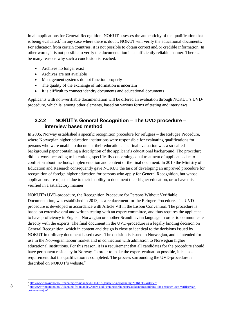In all applications for General Recognition, NOKUT assesses the authenticity of the qualification that is being evaluated.<sup>6</sup> In any case where there is doubt, NOKUT will verify the educational documents. For education from certain countries, it is not possible to obtain correct and/or credible information. In other words, it is not possible to verify the documentation in a sufficiently reliable manner. There can be many reasons why such a conclusion is reached:

- Archives no longer exist
- Archives are not available
- Management systems do not function properly
- The quality of the exchange of information is uncertain
- It is difficult to connect identity documents and educational documents

Applicants with non-verifiable documentation will be offered an evaluation through NOKUT's UVDprocedure, which is, among other elements, based on various forms of testing and interviews.

#### <span id="page-14-0"></span>**3.2.2 NOKUT's General Recognition – The UVD procedure – interview based method**

In 2005, Norway established a specific recognition procedure for refugees – the Refugee Procedure, where Norwegian higher education institutions were responsible for evaluating qualifications for persons who were unable to document their education. The final evaluation was a so-called background paper containing a description of the applicant's educational background. The procedure did not work according to intentions, specifically concerning equal treatment of applicants due to confusion about methods, implementation and content of the final document. In 2010 the Ministry of Education and Research consequently gave NOKUT the task of developing an improved procedure for recognition of foreign higher education for persons who apply for General Recognition, but whose applications are rejected due to their inability to document their higher education, or to have this verified in a satisfactory manner.

NOKUT's UVD-procedure, the Recognition Procedure for Persons Without Verifiable Documentation, was established in 2013, as a replacement for the Refugee Procedure. The UVDprocedure is developed in accordance with Article VII in the Lisbon Convention. The procedure is based on extensive oral and written testing with an expert committee, and thus requires the applicant to have proficiency in English, Norwegian or another Scandinavian language in order to communicate directly with the experts. The final document in the UVD-procedure is a legally binding decision on General Recognition, which in content and design is close to identical to the decisions issued by NOKUT in ordinary document-based cases. The decision is issued in Norwegian, and is intended for use in the Norwegian labour market and in connection with admission to Norwegian higher educational institutions. For this reason, it is a requirement that all candidates for the procedure should have permanent residency in Norway. In order to make the expert evaluation possible, it is also a requirement that the qualification is completed. The process surrounding the UVD-procedure is described on NOKUT's website.<sup>7</sup>

l <http://www.nokut.no/no/Utdanning-fra-utlandet/NOKUTs-generelle-godkjenning/NOKUTs-kriterier/>

<sup>&</sup>lt;sup>7</sup> [http://www.nokut.no/no/Utdanning-fra-utlandet/Andre-godkjenningsordninger/Godkjenningsordning-for-personer-uten-verifiserbar](http://www.nokut.no/no/Utdanning-fra-utlandet/Andre-godkjenningsordninger/Godkjenningsordning-for-personer-uten-verifiserbar-dokumentasjon/)[dokumentasjon/](http://www.nokut.no/no/Utdanning-fra-utlandet/Andre-godkjenningsordninger/Godkjenningsordning-for-personer-uten-verifiserbar-dokumentasjon/)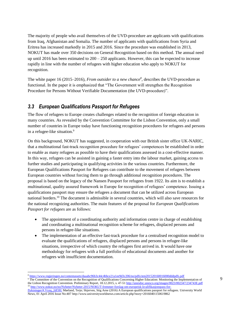The majority of people who avail themselves of the UVD-procedure are applicants with qualifications from Iraq, Afghanistan and Somalia. The number of applicants with qualifications from Syria and Eritrea has increased markedly in 2015 and 2016. Since the procedure was established in 2013, NOKUT has made over 350 decisions on General Recognition based on this method. The annual need up until 2016 has been estimated to  $200 - 250$  applicants. However, this can be expected to increase rapidly in line with the number of refugees with higher education who apply to NOKUT for recognition.

The white paper 16 (2015–2016), *From outsider to a new chance<sup>8</sup>* , describes the UVD-procedure as functional. In the paper it is emphasized that "The Government will strengthen the Recognition Procedure for Persons Without Verifiable Documentation (the UVD-procedure)".

#### <span id="page-15-0"></span>*3.3 European Qualifications Passport for Refugees*

The flow of refugees to Europe creates challenges related to the recognition of foreign education in many countries. As revealed by the Convention Committee for the Lisbon Convention, only a small number of countries in Europe today have functioning recognition procedures for refugees and persons in a refugee-like situation.<sup>9</sup>

On this background, NOKUT has suggested, in cooperation with our British sister office UK-NARIC, that a multinational fast-track recognition procedure for refugees' competences be established in order to enable as many refugees as possible to have their qualifications assessed in a cost-effective manner. In this way, refugees can be assisted in gaining a faster entry into the labour market, gaining access to further studies and participating in qualifying activities in the various countries. Furthermore, the European Qualifications Passport for Refugees can contribute to the movement of refugees between European countries without forcing them to go through additional recognition procedures. The proposal is based on the legacy of the Nansen Passport for refugees from 1922. Its aim is to establish a multinational, quality assured framework in Europe for recognition of refugees' competence. Issuing a qualifications passport may ensure the refugees a document that can be utilized across European national borders.<sup>10</sup> The document is admissible in several countries, which will also save resources for the national recognizing authorities. The main features of the proposal for *European Qualifications Passport for refugees* are as follows:

- The appointment of a coordinating authority and information centre in charge of establishing and coordinating a multinational recognition scheme for refugees, displaced persons and persons in refugee-like situations.
- The implementation of an effective fast-track procedure for a centralised recognition model to evaluate the qualifications of refugees, displaced persons and persons in refugee-like situations, irrespective of which country the refugees first arrived in. It would have one methodology for refugees with a full portfolio of educational documents and another for refugees with insufficient documentation.

l

<sup>9</sup> The Committee of the Convention on the Recognition of Qualifications Concerning Higher Education: Monitoring the Implementation of the Lisbon Recognition Convention. Preliminary Report, 18.12.2015, s. 47-5[1 http://unesdoc.unesco.org/images/0023/002347/234743E.pdf](http://unesdoc.unesco.org/images/0023/002347/234743E.pdf) <sup>10</sup> [http://www.nokut.no/no/Nyheter/Nyheter-2015/NOKUT-fremmer-forslag-om-europeisk-kvalifikasjonspass-for-](http://www.nokut.no/no/Nyheter/Nyheter-2015/NOKUT-fremmer-forslag-om-europeisk-kvalifikasjonspass-for-flyktninger/#.Vyzq_2df3IU)

<sup>8</sup> <https://www.regjeringen.no/contentassets/daaabc96b3c44c4bbce21a1ee9d3c206/no/pdfs/stm201520160016000dddpdfs.pdf>

[flyktninger/#.Vyzq\\_2df3IU](http://www.nokut.no/no/Nyheter/Nyheter-2015/NOKUT-fremmer-forslag-om-europeisk-kvalifikasjonspass-for-flyktninger/#.Vyzq_2df3IU) Mørland, Terje; Skjerven, Stig Arne (2016) A European qualifications passport for refugees. University World News, 01 April 2016 Issue No:40[7 http://www.universityworldnews.com/article.php?story=20160401150619862](http://www.universityworldnews.com/article.php?story=20160401150619862)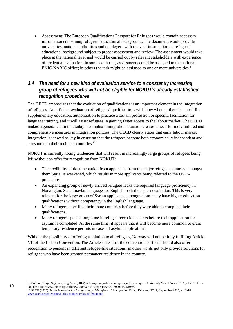Assessment: The European Qualifications Passport for Refugees would contain necessary information concerning refugees' educational background. The document would provide universities, national authorities and employers with relevant information on refugees' educational background subject to proper assessment and review. The assessment would take place at the national level and would be carried out by relevant stakeholders with experience of credential evaluation. In some countries, assessments could be assigned to the national ENIC-NARIC office; in others the task might be assigned to one or more universities.<sup>11</sup>

#### <span id="page-16-0"></span>*3.4 The need for a new kind of evaluation service to a constantly increasing group of refugees who will not be eligible for NOKUT's already established recognition procedures*

The OECD emphasizes that the evaluation of qualifications is an important element in the integration of refugees. An efficient evaluation of refugees' qualifications will show whether there is a need for supplementary education, authorization to practice a certain profession or specific facilitation for language training, and it will assist refugees in gaining faster access to the labour market. The OECD makes a general claim that today's complex immigration situation creates a need for more tailored and comprehensive measures in integration policies. The OECD clearly states that early labour market integration is viewed as key in ensuring that the refugees become both economically independent and a resource to their recipient countries.<sup>12</sup>

NOKUT is currently noting tendencies that will result in increasingly large groups of refugees being left without an offer for recognition from NOKUT:

- The credibility of documentation from applicants from the major refugee countries, amongst them Syria, is weakened, which results in more applicants being referred to the UVDprocedure.
- An expanding group of newly arrived refugees lacks the required language proficiency in Norwegian, Scandinavian languages or English to sit the expert evaluation. This is very relevant for the large group of Syrian applicants, among whom many have higher education qualifications without competency in the English language.
- Many refugees have fled their home countries before they were able to complete their qualifications.
- Many refugees spend a long time in refugee reception centers before their application for asylum is completed. At the same time, it appears that it will become more common to grant temporary residence permits in cases of asylum applications.

Without the possibility of offering a solution to all refugees, Norway will not be fully fulfilling Article VII of the Lisbon Convention. The Article states that the convention partners should also offer recognition to persons in different refugee-like situations, in other words not only provide solutions for refugees who have been granted permanent residency in the country.

l <sup>11</sup> Mørland, Terje; Skjerven, Stig Arne (2016) A European qualifications passport for refugees. University World News, 01 April 2016 Issue No:407<http://www.universityworldnews.com/article.php?story=20160401150619862>

<sup>12</sup> OECD (2015). *Is this humanitarian immigration crisis different?* Immigration Policy Debates, NO. 7, September 2015, s. 13-14. [www.oecd.org/migration/Is-this-refugee-crisis-different.pdf](http://www.oecd.org/migration/Is-this-refugee-crisis-different.pdf)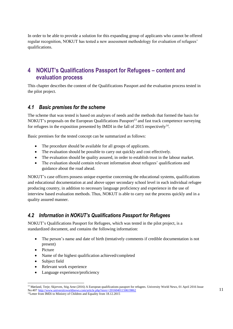In order to be able to provide a solution for this expanding group of applicants who cannot be offered regular recognition, NOKUT has tested a new assessment methodology for evaluation of refugees' qualifications.

# <span id="page-17-0"></span>**4 NOKUT's Qualifications Passport for Refugees – content and evaluation process**

This chapter describes the content of the Qualifications Passport and the evaluation process tested in the pilot project.

#### <span id="page-17-1"></span>*4.1 Basic premises for the scheme*

The scheme that was tested is based on analyses of needs and the methods that formed the basis for NOKUT's proposals on the European Qualifications Passport<sup>13</sup> and fast track competence surveying for refugees in the exposition presented by IMDI in the fall of 2015 respectively $^{14}$ .

Basic premises for the tested concept can be summarized as follows:

- The procedure should be available for all groups of applicants.
- The evaluation should be possible to carry out quickly and cost effectively.
- The evaluation should be quality assured, in order to establish trust in the labour market.
- The evaluation should contain relevant information about refugees' qualifications and guidance about the road ahead.

NOKUT's case officers possess unique expertise concerning the educational systems, qualifications and educational documentation at and above upper secondary school level in each individual refugee producing country, in addition to necessary language proficiency and experience in the use of interview based evaluation methods. Thus, NOKUT is able to carry out the process quickly and in a quality assured manner.

# <span id="page-17-2"></span>*4.2 Information in NOKUT's Qualifications Passport for Refugees*

NOKUT's Qualifications Passport for Refugees, which was tested in the pilot project, is a standardized document, and contains the following information:

- The person's name and date of birth (tentatively comments if credible documentation is not present)
- Picture

 $\overline{a}$ 

- Name of the highest qualification achieved/completed
- Subject field
- Relevant work experience
- Language experience/proficiency

<sup>&</sup>lt;sup>13</sup> Mørland, Terje; Skjerven, Stig Arne (2016) A European qualifications passport for refugees. University World News, 01 April 2016 Issue No:407 <http://www.universityworldnews.com/article.php?story=20160401150619862>

<sup>&</sup>lt;sup>14</sup>Letter from IMDi to Ministry of Children and Equality from 18.12.2015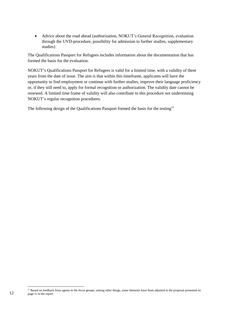Advice about the road ahead (authorization, NOKUT's General Recognition, evaluation through the UVD-procedure, possibility for admission to further studies, supplementary studies)

The Qualifications Passport for Refugees includes information about the documentation that has formed the basis for the evaluation.

NOKUT's Qualifications Passport for Refugees is valid for a limited time, with a validity of three years from the date of issue. The aim is that within this timeframe, applicants will have the opportunity to find employment or continue with further studies, improve their language proficiency or, if they still need to, apply for formal recognition or authorization. The validity date cannot be renewed. A limited time frame of validity will also contribute to this procedure not undermining NOKUT's regular recognition procedures.

The following design of the Qualifications Passport formed the basis for the testing<sup>15</sup>

l

<sup>&</sup>lt;sup>15</sup> Based on feedback from agents in the focus groups, among other things, some elements have been adjusted in the proposal presented on page iv in the report.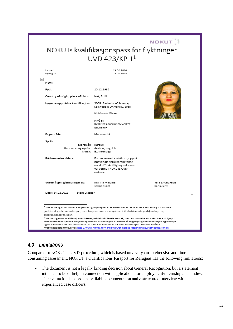# **NOKUT** NOKUTs kvalifikasjonspass for flyktninger UVD 423/KP 1<sup>1</sup>

| Utstedt:<br>Gyldig til:              | 24.02.2016<br>24.02.2019                                                                                                                                                                          |                               |
|--------------------------------------|---------------------------------------------------------------------------------------------------------------------------------------------------------------------------------------------------|-------------------------------|
| H                                    |                                                                                                                                                                                                   |                               |
| Navn:                                |                                                                                                                                                                                                   |                               |
| Født:                                | 13.12.1985                                                                                                                                                                                        |                               |
| Country of origin, place of birth:   | Irak, Erbil                                                                                                                                                                                       |                               |
| Høyeste oppnådde kvalifikasjon:      | 2008: Bachelor of Science,<br>Salahaddin University, Erbil                                                                                                                                        |                               |
|                                      | Nivaplassering i Norge:                                                                                                                                                                           |                               |
|                                      | Nivå 6 i<br>Kvalifikasjonsrammeverket,<br>Bachelor <sup>2</sup>                                                                                                                                   |                               |
| Fagområde:                           | Matematikk                                                                                                                                                                                        |                               |
| Språk:                               |                                                                                                                                                                                                   |                               |
| Morsmål: Kurdisk                     |                                                                                                                                                                                                   |                               |
| Undervisningsspråk: Arabisk, engelsk |                                                                                                                                                                                                   |                               |
|                                      | Norsk: B1 (muntlig)                                                                                                                                                                               |                               |
| Råd om veien videre:                 | Fortsette med språkkurs, oppnå<br>nødvendig språkkompetanse i<br>norsk (B1 skriftlig) og søke om<br>vurdering i NOKUTs UVD-<br>ordning                                                            |                               |
| Vurderingen gjennomført av:          | Marina Malgina<br>seksjonssjef                                                                                                                                                                    | Sara Eitungjerde<br>konsulent |
| Dato: 24.02.2016<br>Sted: Lysaker    |                                                                                                                                                                                                   | $\Box$                        |
|                                      |                                                                                                                                                                                                   |                               |
|                                      | <sup>1</sup> Det er viktig at mottakere av passet og myndigheter er klare over at dette er ikke erstatning for formell                                                                            |                               |
|                                      | godkjenning eller autorisasjon, men fungerer som en supplement til eksisterende godkjennings- og                                                                                                  |                               |
| autorisasjonsordninger.              |                                                                                                                                                                                                   |                               |
|                                      | <sup>2</sup> Vurderingen av kvalifikasjon er ikke et juridisk bindende vedtak, men en uttalelse som skal være til hjelp i                                                                         |                               |
|                                      | forbindelse med søknad om jobb og studier. Vurderingen er basert på tilgjengelig dokumentasjon og intervju                                                                                        |                               |
|                                      | og er ikke verifisert ved lærestedet. NOKUT kan kontaktes for mer informasjon. Mer om nivåer i<br>Kvalifikasjonsrammeverket http://www.nokut.no/no/Fakta/Det-norske-utdanningssystemet/Nasjonalt- |                               |

# <span id="page-19-0"></span>*4.3 Limitations*

Compared to NOKUT's UVD-procedure, which is based on a very comprehensive and timeconsuming assessment, NOKUT's Qualifications Passport for Refugees has the following limitations:

• The document is not a legally binding decision about General Recognition, but a statement intended to be of help in connection with applications for employment/internship and studies. The evaluation is based on available documentation and a structured interview with experienced case officers.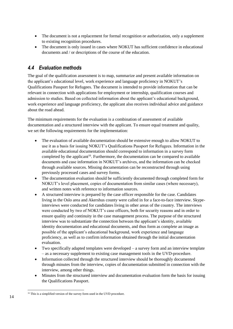- The document is not a replacement for formal recognition or authorization, only a supplement to existing recognition procedures.
- The document is only issued in cases where NOKUT has sufficient confidence in educational documents and / or descriptions of the course of the education.

# <span id="page-20-0"></span>*4.4 Evaluation methods*

The goal of the qualification assessment is to map, summarize and present available information on the applicant's educational level, work experience and language proficiency in NOKUT's Qualifications Passport for Refugees. The document is intended to provide information that can be relevant in connection with applications for employment or internship, qualification courses and admission to studies. Based on collected information about the applicant's educational background, work experience and language proficiency, the applicant also receives individual advice and guidance about the road ahead.

The minimum requirements for the evaluation is a combination of assessment of available documentation and a structured interview with the applicant. To ensure equal treatment and quality, we set the following requirements for the implementation:

- The evaluation of available documentation should be extensive enough to allow NOKUT to use it as a basis for issuing NOKUT's Qualifications Passport for Refugees. Information in the available educational documentation should correspond to information in a survey form completed by the applicant<sup>16</sup>. Furthermore, the documentation can be compared to available documents and case information in NOKUT's archives, and the information can be checked through available sources. Missing documentation can be reconstructed through using previously processed cases and survey forms.
- The documentation evaluation should be sufficiently documented through completed form for NOKUT's level placement, copies of documentation from similar cases (where necessary), and written notes with reference to information sources.
- A structured interview is prepared by the case officer responsible for the case. Candidates living in the Oslo area and Akershus county were called in for a face-to-face interview. Skypeinterviews were conducted for candidates living in other areas of the country. The interviews were conducted by two of NOKUT's case officers, both for security reasons and in order to ensure quality and continuity in the case management process. The purpose of the structured interview was to substantiate the connection between the applicant's identity, available identity documentation and educational documents, and thus form as complete an image as possible of the applicant's educational background, work experience and language proficiency, as well as to confirm information obtained through the initial documentation evaluation.
- Two specifically adapted templates were developed a survey form and an interview template – as a necessary supplement to existing case management tools in the UVD-procedure.
- Information collected through the structured interview should be thoroughly documented through minutes from the interview, copies of documentation submitted in connection with the interview, among other things.
- Minutes from the structured interview and documentation evaluation form the basis for issuing the Qualifications Passport.

 $\overline{a}$ <sup>16</sup> This is a simplified version of the survey form used in the UVD procedure.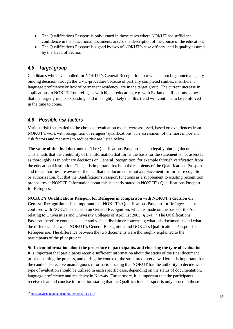- The Qualifications Passport is only issued in those cases where NOKUT has sufficient confidence in the educational documents and/or the description of the course of the education.
- The Qualifications Passport is signed by two of NOKUT's case officers, and is quality assured by the Head of Section.

## <span id="page-21-0"></span>*4.5 Target group*

Candidates who have applied for NOKUT's General Recognition, but who cannot be granted a legally binding decision through the UVD-procedure because of partially completed studies, insufficient language proficiency or lack of permanent residency, are in the target group. The current increase in applications to NOKUT from refugees with higher education, e.g. with Syrian qualifications, show that the target group is expanding, and it is highly likely that this trend will continue to be reinforced in the time to come.

## <span id="page-21-1"></span>*4.6 Possible risk factors*

Various risk factors tied to the choice of evaluation model were assessed, based on experiences from NOKUT's work with recognition of refugees' qualifications. The assessment of the most important risk factors and measures to reduce risk are listed below.

**The value of the final document –** The Qualifications Passport is not a legally binding document. This entails that the credibility of the information that forms the basis for the statement is not assessed as thoroughly as in ordinary decisions on General Recognition, for example through verification from the educational institution. Thus, it is important that both the recipients of the Qualifications Passport and the authorities are aware of the fact that the document is not a replacement for formal recognition or authorization, but that the Qualifications Passport functions as a supplement to existing recognition procedures at NOKUT. Information about this is clearly stated in NOKUT's Qualifications Passport for Refugees.

**NOKUT's Qualifications Passport for Refugees in comparison with NOKUT's decision on General Recognition –** It is important that NOKUT's Qualifications Passport for Refugees is not confused with NOKUT's decision on General Recognition, which is made on the basis of the Act relating to Universities and University Colleges of April 1st 2005 ( $\S$  3-4).<sup>17</sup> The Qualifications Passport therefore contains a clear and visible disclaimer concerning what this document is and what the differences between NOKUT's General Recognition and NOKUTs Qualifications Passport for Refugees are. The difference between the two documents were thoroughly explained to the participants of the pilot project.

**Sufficient information about the procedure to participants, and choosing the type of evaluation –** It is important that participants receive sufficient information about the status of the final document prior to starting the process, and during the course of the structured interview. Here it is important that the candidates receive unambiguous information stating that NOKUT has the authority to decide what type of evaluation should be utilized in each specific case, depending on the status of documentation, language proficiency and residency in Norway. Furthermore, it is important that the participants receive clear and concise information stating that the Qualifications Passport is only issued in those

 $\overline{a}$ <sup>17</sup> <https://lovdata.no/dokument/NL/lov/2005-04-01-15>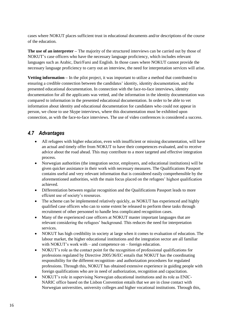cases where NOKUT places sufficient trust in educational documents and/or descriptions of the course of the education.

**The use of an interpreter –** The majority of the structured interviews can be carried out by those of NOKUT's case officers who have the necessary language proficiency, which includes relevant languages such as Arabic, Dari/Farsi and English. In those cases where NOKUT cannot provide the necessary language proficiency to carry out an interview, the need for interpretation services will arise.

**Vetting information** – In the pilot project, it was important to utilize a method that contributed to ensuring a credible connection between the candidates' identity, identity documentation, and the presented educational documentation. In connection with the face-to-face interviews, identity documentation for all the applicants was vetted, and the information in the identity documentation was compared to information in the presented educational documentation. In order to be able to vet information about identity and educational documentation for candidates who could not appear in person, we chose to use Skype interviews, where this documentation must be exhibited upon connection, as with the face-to-face interviews. The use of video conferences is considered a success.

## <span id="page-22-0"></span>*4.7 Advantages*

- All refugees with higher education, even with insufficient or missing documentation, will have an actual and timely offer from NOKUT to have their competences evaluated, and to receive advice about the road ahead. This may contribute to a more targeted and effective integration process.
- Norwegian authorities (the integration sector, employers, and educational institutions) will be given quicker assistance in their work with necessary measures. The Qualifications Passport contains useful and very relevant information that is considered easily comprehensible by the aforementioned authorities, with the main focus placed on the refugees' highest qualification achieved.
- Differentiation between regular recognition and the Qualifications Passport leads to more effcient use of society's resources.
- The scheme can be implemented relatively quickly, as NOKUT has experienced and highly qualified case officers who can to some extent be released to perform these tasks through recruitment of other personnel to handle less complicated recognition cases.
- Many of the experienced case officers at NOKUT master important languages that are relevant considering the refugees' background. This reduces the need for interpretation services.
- NOKUT has high credibility in society at large when it comes to evaluation of education. The labour market, the higher educational institutions and the integration sector are all familiar with NOKUT's work with – and competence on – foreign education.
- NOKUT's role as the contact point for the recognition of professional qualifications for professions regulated by Directive 2005/36/EC entails that NOKUT has the coordinating responsibility for the different recognition- and authorization procedures for regulated professions. Through this, NOKUT has obtained extensive experience in guiding people with foreign qualifications who are in need of authorization, recognition and capacitation.
- NOKUT's role in supervising Norwegian educational institutions and its role as ENIC-NARIC office based on the Lisbon Convention entails that we are in close contact with Norwegian universities, university colleges and higher vocational institutions. Through this,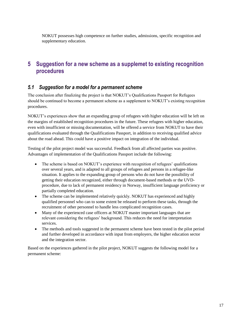NOKUT possesses high competence on further studies, admissions, specific recognition and supplementary education.

# <span id="page-23-0"></span>**5 Suggestion for a new scheme as a supplemet to existing recognition procedures**

#### <span id="page-23-1"></span>*5.1 Suggestion for a model for a permanent scheme*

The conclusion after finalizing the project is that NOKUT's Qualifications Passport for Refugees should be continued to become a permanent scheme as a supplement to NOKUT's existing recognition procedures.

NOKUT's experiences show that an expanding group of refugees with higher education will be left on the margins of established recognition procedures in the future. These refugees with higher education, even with insufficient or missing documentation, will be offered a service from NOKUT to have their qualifications evaluated through the Qualifications Passport, in addition to receiving qualified advice about the road ahead. This could have a positive impact on integration of the individual.

Testing of the pilot project model was successful. Feedback from all affected parties was positive. Advantages of implementation of the Qualifications Passport include the following:

- The scheme is based on NOKUT's experience with recognition of refugees' qualifications over several years, and is adapted to all groups of refugees and persons in a refugee-like situation. It applies to the expanding group of persons who do not have the possibility of getting their education recognized, either through document-based methods or the UVDprocedure, due to lack of permanent residency in Norway, insufficient language proficiency or partially completed education.
- The scheme can be implemented relatively quickly. NOKUT has experienced and highly qualified personnel who can to some extent be released to perform these tasks, through the recruitment of other personnel to handle less complicated recognition cases.
- Many of the experienced case officers at NOKUT master important languages that are relevant considering the refugees' background. This reduces the need for interpretation services.
- The methods and tools suggested in the permanent scheme have been tested in the pilot period and further developed in accordance with input from employers, the higher education sector and the integration sector.

Based on the experiences gathered in the pilot project, NOKUT suggests the following model for a permanent scheme: